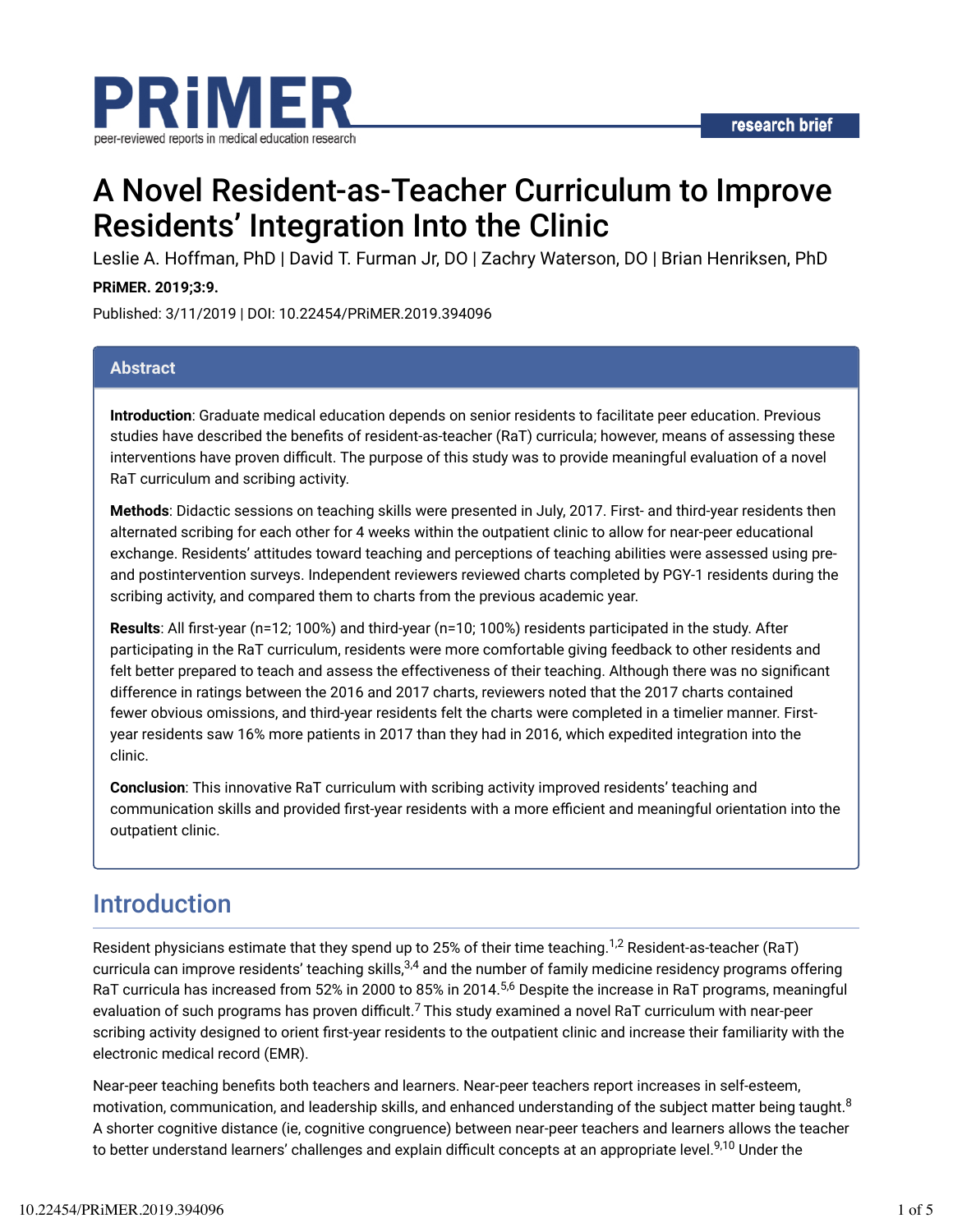

# A Novel Resident-as-Teacher Curriculum to Improve Residents' Integration Into the Clinic

Leslie A. Hoffman, PhD | David T. Furman Jr, DO | Zachry Waterson, DO | Brian Henriksen, PhD

#### **PRiMER. 2019;3:9.**

Published: 3/11/2019 | DOI: 10.22454/PRiMER.2019.394096

#### **Abstract**

**Introduction**: Graduate medical education depends on senior residents to facilitate peer education. Previous studies have described the benefits of resident-as-teacher (RaT) curricula; however, means of assessing these interventions have proven difficult. The purpose of this study was to provide meaningful evaluation of a novel RaT curriculum and scribing activity.

**Methods**: Didactic sessions on teaching skills were presented in July, 2017. First- and third-year residents then alternated scribing for each other for 4 weeks within the outpatient clinic to allow for near-peer educational exchange. Residents' attitudes toward teaching and perceptions of teaching abilities were assessed using preand postintervention surveys. Independent reviewers reviewed charts completed by PGY-1 residents during the scribing activity, and compared them to charts from the previous academic year.

**Results**: All Trst-year (n=12; 100%) and third-year (n=10; 100%) residents participated in the study. After participating in the RaT curriculum, residents were more comfortable giving feedback to other residents and felt better prepared to teach and assess the effectiveness of their teaching. Although there was no significant difference in ratings between the 2016 and 2017 charts, reviewers noted that the 2017 charts contained fewer obvious omissions, and third-year residents felt the charts were completed in a timelier manner. Firstyear residents saw 16% more patients in 2017 than they had in 2016, which expedited integration into the clinic.

**Conclusion**: This innovative RaT curriculum with scribing activity improved residents' teaching and communication skills and provided first-year residents with a more efficient and meaningful orientation into the outpatient clinic.

### Introduction

Resident physicians estimate that they spend up to 25% of their time teaching. $^{1,2}$  Resident-as-teacher (RaT) curricula can improve residents' teaching skills,<sup>3,4</sup> and the number of family medicine residency programs offering RaT curricula has increased from 52% in 2000 to 85% in 2014. $^{5,6}$  Despite the increase in RaT programs, meaningful evaluation of such programs has proven difficult.<sup>7</sup> This study examined a novel RaT curriculum with near-peer scribing activity designed to orient first-year residents to the outpatient clinic and increase their familiarity with the electronic medical record (EMR).

Near-peer teaching benefits both teachers and learners. Near-peer teachers report increases in self-esteem, motivation, communication, and leadership skills, and enhanced understanding of the subject matter being taught. $^8$ A shorter cognitive distance (ie, cognitive congruence) between near-peer teachers and learners allows the teacher to better understand learners' challenges and explain difficult concepts at an appropriate level.<sup>9,10</sup> Under the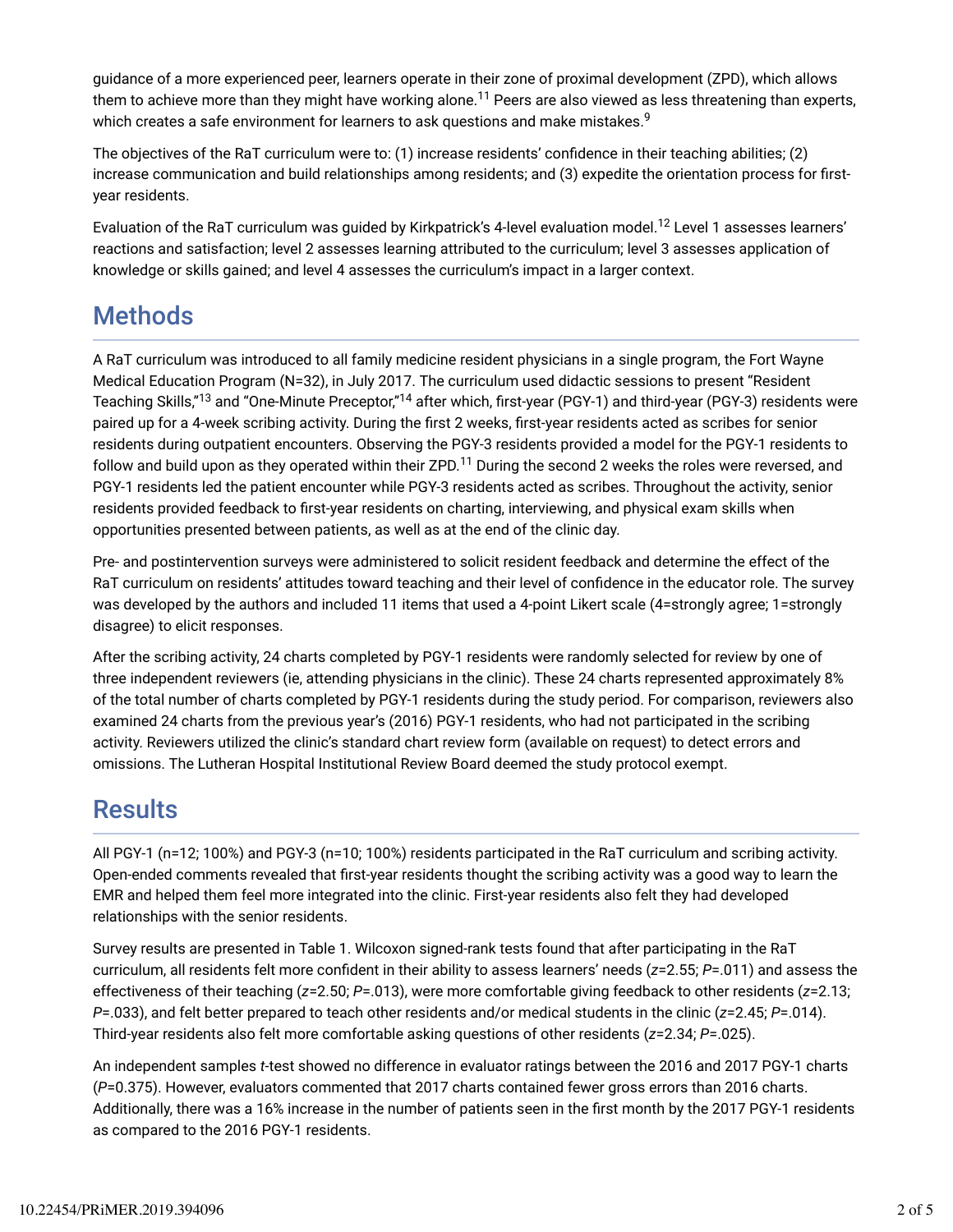guidance of a more experienced peer, learners operate in their zone of proximal development (ZPD), which allows them to achieve more than they might have working alone.<sup>11</sup> Peers are also viewed as less threatening than experts, which creates a safe environment for learners to ask questions and make mistakes. $^9$ 

The objectives of the RaT curriculum were to: (1) increase residents' confidence in their teaching abilities; (2) increase communication and build relationships among residents; and (3) expedite the orientation process for firstyear residents.

Evaluation of the RaT curriculum was guided by Kirkpatrick's 4-level evaluation model. $^{12}$  Level 1 assesses learners' reactions and satisfaction; level 2 assesses learning attributed to the curriculum; level 3 assesses application of knowledge or skills gained; and level 4 assesses the curriculum's impact in a larger context.

# **Methods**

A RaT curriculum was introduced to all family medicine resident physicians in a single program, the Fort Wayne Medical Education Program (N=32), in July 2017. The curriculum used didactic sessions to present "Resident Teaching Skills,"<sup>13</sup> and "One-Minute Preceptor,"<sup>14</sup> after which, first-year (PGY-1) and third-year (PGY-3) residents were paired up for a 4-week scribing activity. During the first 2 weeks, first-year residents acted as scribes for senior residents during outpatient encounters. Observing the PGY-3 residents provided a model for the PGY-1 residents to follow and build upon as they operated within their ZPD. $^{11}$  During the second 2 weeks the roles were reversed, and PGY-1 residents led the patient encounter while PGY-3 residents acted as scribes. Throughout the activity, senior residents provided feedback to first-year residents on charting, interviewing, and physical exam skills when opportunities presented between patients, as well as at the end of the clinic day.

Pre- and postintervention surveys were administered to solicit resident feedback and determine the effect of the RaT curriculum on residents' attitudes toward teaching and their level of confidence in the educator role. The survey was developed by the authors and included 11 items that used a 4-point Likert scale (4=strongly agree; 1=strongly disagree) to elicit responses.

After the scribing activity, 24 charts completed by PGY-1 residents were randomly selected for review by one of three independent reviewers (ie, attending physicians in the clinic). These 24 charts represented approximately 8% of the total number of charts completed by PGY-1 residents during the study period. For comparison, reviewers also examined 24 charts from the previous year's (2016) PGY-1 residents, who had not participated in the scribing activity. Reviewers utilized the clinic's standard chart review form (available on request) to detect errors and omissions. The Lutheran Hospital Institutional Review Board deemed the study protocol exempt.

### **Results**

All PGY-1 (n=12; 100%) and PGY-3 (n=10; 100%) residents participated in the RaT curriculum and scribing activity. Open-ended comments revealed that Trst-year residents thought the scribing activity was a good way to learn the EMR and helped them feel more integrated into the clinic. First-year residents also felt they had developed relationships with the senior residents.

Survey results are presented in Table 1. Wilcoxon signed-rank tests found that after participating in the RaT curriculum, all residents felt more confident in their ability to assess learners' needs ( $z=2.55$ ;  $P=.011$ ) and assess the effectiveness of their teaching (*z*=2.50; *P*=.013), were more comfortable giving feedback to other residents (*z*=2.13; *P*=.033), and felt better prepared to teach other residents and/or medical students in the clinic (*z*=2.45; *P*=.014). Third-year residents also felt more comfortable asking questions of other residents (*z*=2.34; *P*=.025).

An independent samples *t*-test showed no difference in evaluator ratings between the 2016 and 2017 PGY-1 charts (*P*=0.375). However, evaluators commented that 2017 charts contained fewer gross errors than 2016 charts. Additionally, there was a 16% increase in the number of patients seen in the first month by the 2017 PGY-1 residents as compared to the 2016 PGY-1 residents.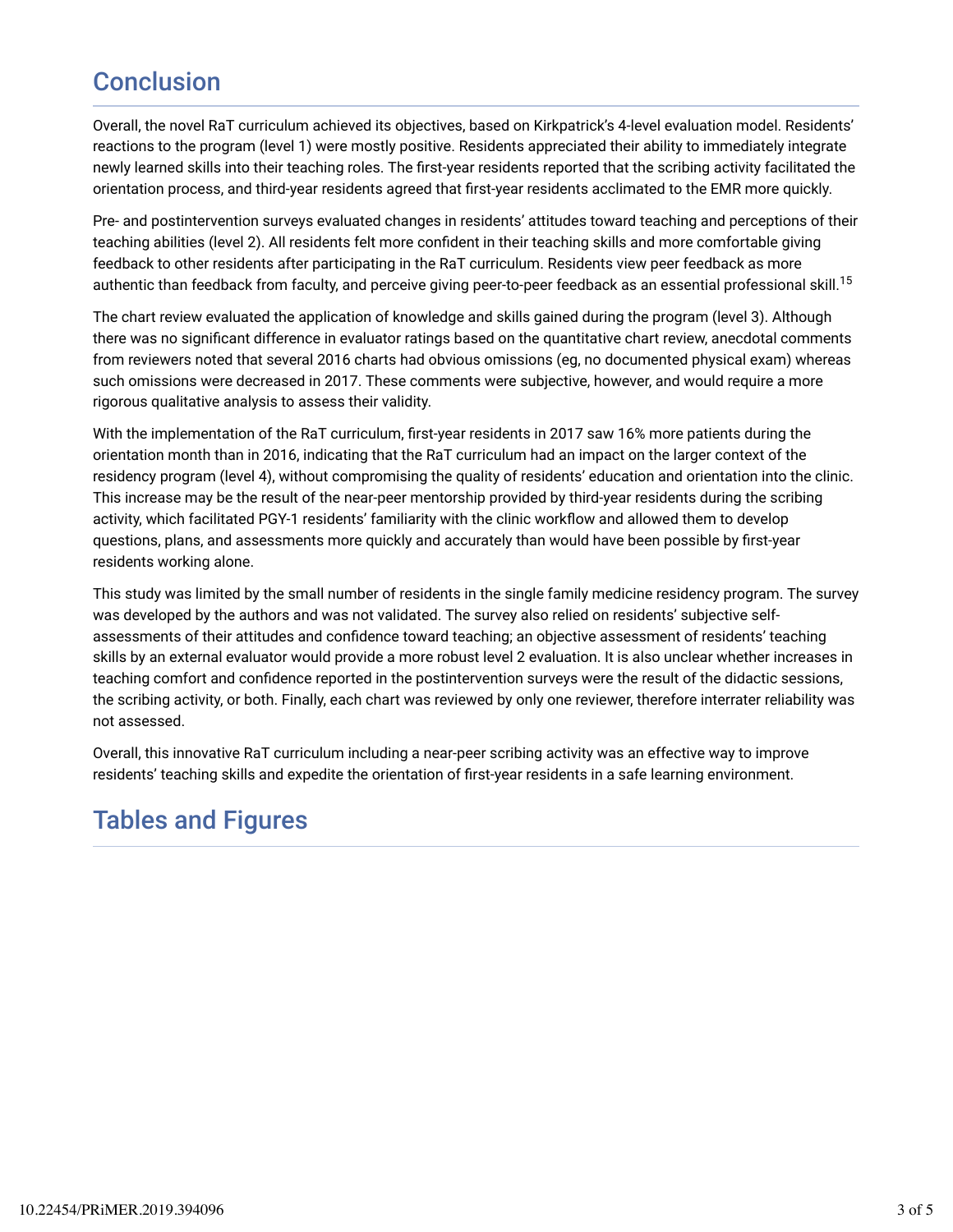## Conclusion

Overall, the novel RaT curriculum achieved its objectives, based on Kirkpatrick's 4-level evaluation model. Residents' reactions to the program (level 1) were mostly positive. Residents appreciated their ability to immediately integrate newly learned skills into their teaching roles. The Trst-year residents reported that the scribing activity facilitated the orientation process, and third-year residents agreed that Trst-year residents acclimated to the EMR more quickly.

Pre- and postintervention surveys evaluated changes in residents' attitudes toward teaching and perceptions of their teaching abilities (level 2). All residents felt more confident in their teaching skills and more comfortable giving feedback to other residents after participating in the RaT curriculum. Residents view peer feedback as more authentic than feedback from faculty, and perceive giving peer-to-peer feedback as an essential professional skill.<sup>15</sup>

The chart review evaluated the application of knowledge and skills gained during the program (level 3). Although there was no significant difference in evaluator ratings based on the quantitative chart review, anecdotal comments from reviewers noted that several 2016 charts had obvious omissions (eg, no documented physical exam) whereas such omissions were decreased in 2017. These comments were subjective, however, and would require a more rigorous qualitative analysis to assess their validity.

With the implementation of the RaT curriculum, first-year residents in 2017 saw 16% more patients during the orientation month than in 2016, indicating that the RaT curriculum had an impact on the larger context of the residency program (level 4), without compromising the quality of residents' education and orientation into the clinic. This increase may be the result of the near-peer mentorship provided by third-year residents during the scribing activity, which facilitated PGY-1 residents' familiarity with the clinic workflow and allowed them to develop questions, plans, and assessments more quickly and accurately than would have been possible by first-year residents working alone.

This study was limited by the small number of residents in the single family medicine residency program. The survey was developed by the authors and was not validated. The survey also relied on residents' subjective selfassessments of their attitudes and confidence toward teaching; an objective assessment of residents' teaching skills by an external evaluator would provide a more robust level 2 evaluation. It is also unclear whether increases in teaching comfort and confidence reported in the postintervention surveys were the result of the didactic sessions, the scribing activity, or both. Finally, each chart was reviewed by only one reviewer, therefore interrater reliability was not assessed.

Overall, this innovative RaT curriculum including a near-peer scribing activity was an effective way to improve residents' teaching skills and expedite the orientation of first-year residents in a safe learning environment.

### Tables and Figures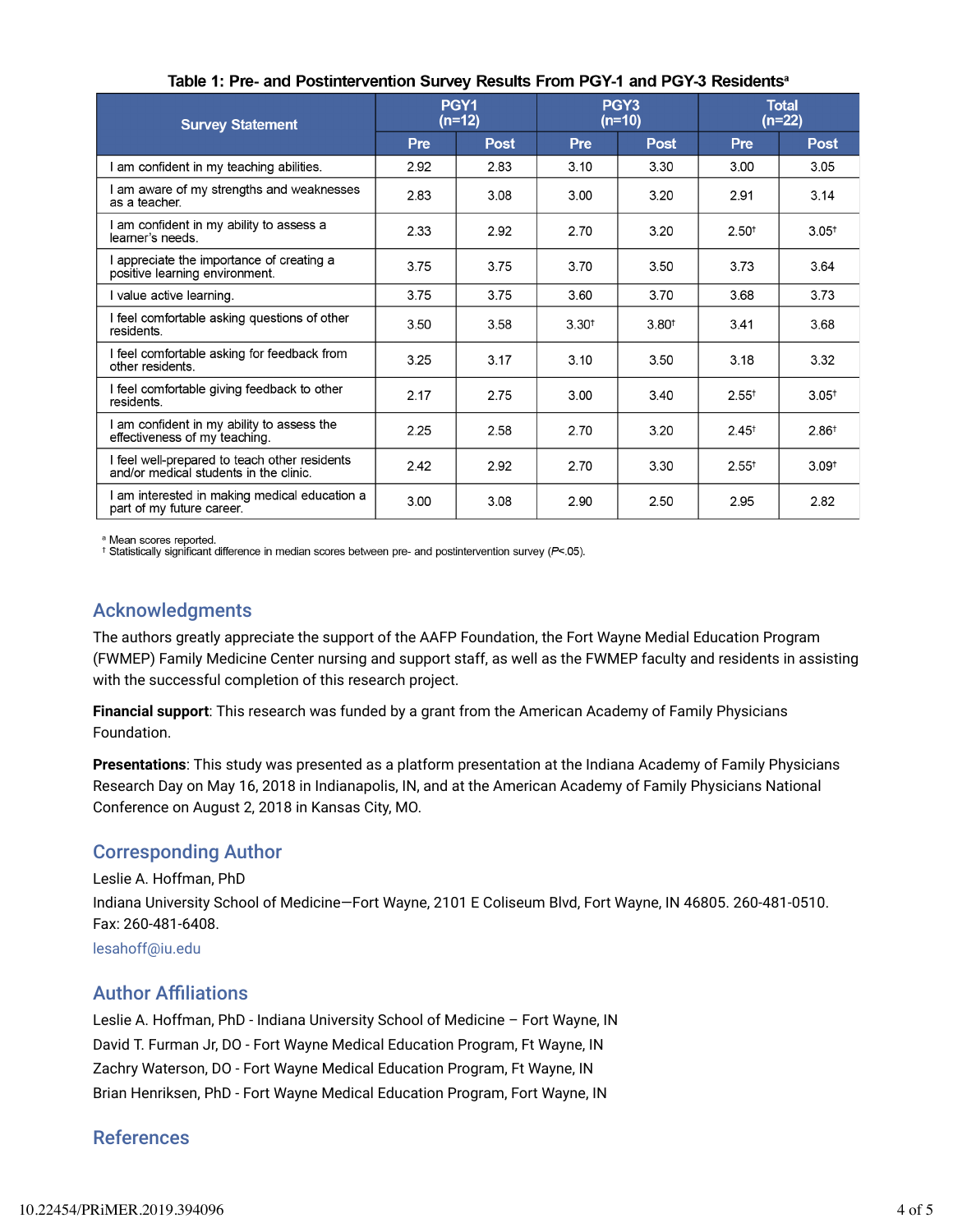| <b>Survey Statement</b>                                                                 | PGY <sub>1</sub><br>$(n=12)$ |             | PGY <sub>3</sub><br>$(n=10)$ |                   | <b>Total</b><br>$(n=22)$ |                   |
|-----------------------------------------------------------------------------------------|------------------------------|-------------|------------------------------|-------------------|--------------------------|-------------------|
|                                                                                         | <b>Pre</b>                   | <b>Post</b> | Pre                          | <b>Post</b>       | <b>Pre</b>               | <b>Post</b>       |
| I am confident in my teaching abilities.                                                | 2.92                         | 2.83        | 3.10                         | 3.30              | 3.00                     | 3.05              |
| I am aware of my strengths and weaknesses<br>as a teacher                               | 2.83                         | 3.08        | 3.00                         | 3.20              | 2.91                     | 3.14              |
| am confident in my ability to assess a<br>learner's needs.                              | 2.33                         | 2.92        | 2.70                         | 3.20              | $2.50^{+}$               | 3.05 <sup>†</sup> |
| appreciate the importance of creating a<br>positive learning environment.               | 3.75                         | 3.75        | 3.70                         | 3.50              | 3.73                     | 3.64              |
| I value active learning.                                                                | 3.75                         | 3.75        | 3.60                         | 3.70              | 3.68                     | 3.73              |
| I feel comfortable asking questions of other<br>residents.                              | 3.50                         | 3.58        | $3.30^{+}$                   | 3.80 <sup>†</sup> | 3.41                     | 3.68              |
| I feel comfortable asking for feedback from<br>other residents.                         | 3.25                         | 3.17        | 3.10                         | 3.50              | 3.18                     | 3.32              |
| I feel comfortable giving feedback to other<br>residents.                               | 2.17                         | 2.75        | 3.00                         | 3.40              | $2.55^+$                 | 3.05 <sup>†</sup> |
| am confident in my ability to assess the<br>effectiveness of my teaching.               | 2.25                         | 2.58        | 2.70                         | 3.20              | $2.45^+$                 | 2.86 <sup>†</sup> |
| I feel well-prepared to teach other residents<br>and/or medical students in the clinic. | 2.42                         | 2.92        | 2.70                         | 3.30              | $2.55^{+}$               | 3.09 <sup>†</sup> |
| am interested in making medical education a<br>part of my future career.                | 3.00                         | 3.08        | 2.90                         | 2.50              | 2.95                     | 2.82              |

#### Table 1: Pre- and Postintervention Survey Results From PGY-1 and PGY-3 Residents<sup>a</sup>

ª Mean scores reported.<br>† Statistically significant difference in median scores between pre- and postintervention survey (P<.05).

### Acknowledgments

The authors greatly appreciate the support of the AAFP Foundation, the Fort Wayne Medial Education Program (FWMEP) Family Medicine Center nursing and support staff, as well as the FWMEP faculty and residents in assisting with the successful completion of this research project.

**Financial support**: This research was funded by a grant from the American Academy of Family Physicians Foundation.

**Presentations**: This study was presented as a platform presentation at the Indiana Academy of Family Physicians Research Day on May 16, 2018 in Indianapolis, IN, and at the American Academy of Family Physicians National Conference on August 2, 2018 in Kansas City, MO.

### Corresponding Author

Leslie A. Hoffman, PhD

Indiana University School of Medicine—Fort Wayne, 2101 E Coliseum Blvd, Fort Wayne, IN 46805. 260-481-0510. Fax: 260-481-6408.

lesahoff@iu.edu

### **Author Affiliations**

Leslie A. Hoffman, PhD - Indiana University School of Medicine – Fort Wayne, IN David T. Furman Jr, DO - Fort Wayne Medical Education Program, Ft Wayne, IN Zachry Waterson, DO - Fort Wayne Medical Education Program, Ft Wayne, IN Brian Henriksen, PhD - Fort Wayne Medical Education Program, Fort Wayne, IN

### References